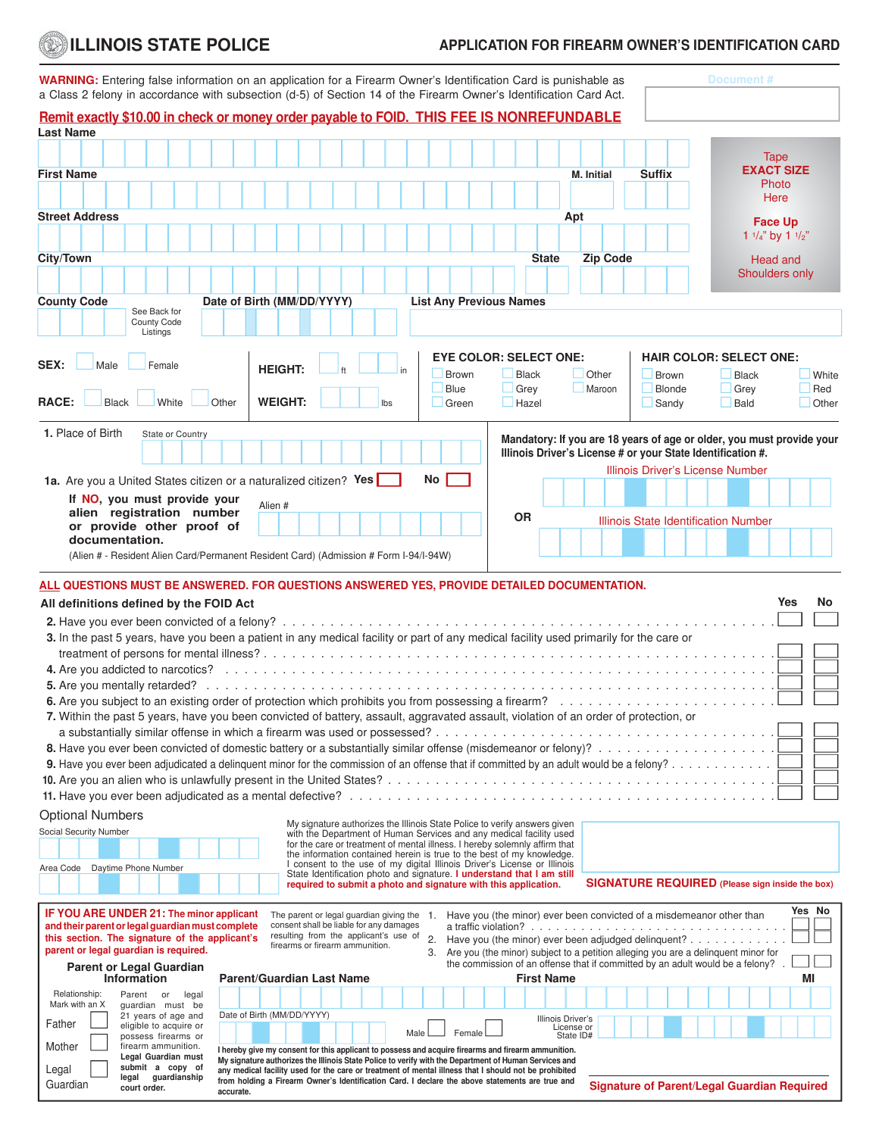## Æ

## **ILLINOIS STATE POLICE APPLICATION FOR FIREARM OWNER'S IDENTIFICATION CARD**

| <b>WARNING:</b> Entering false information on an application for a Firearm Owner's Identification Card is punishable as<br>a Class 2 felony in accordance with subsection (d-5) of Section 14 of the Firearm Owner's Identification Card Act. |                            |                                                                                                                                                                                                              |                                |                                 |                                    | Document#                                                                                                                                |
|-----------------------------------------------------------------------------------------------------------------------------------------------------------------------------------------------------------------------------------------------|----------------------------|--------------------------------------------------------------------------------------------------------------------------------------------------------------------------------------------------------------|--------------------------------|---------------------------------|------------------------------------|------------------------------------------------------------------------------------------------------------------------------------------|
| <b>Remit exactly \$10.00 in check or money order payable to FOID. THIS FEE IS NONREFUNDABLE</b><br><b>Last Name</b>                                                                                                                           |                            |                                                                                                                                                                                                              |                                |                                 |                                    |                                                                                                                                          |
|                                                                                                                                                                                                                                               |                            |                                                                                                                                                                                                              |                                |                                 |                                    |                                                                                                                                          |
|                                                                                                                                                                                                                                               |                            |                                                                                                                                                                                                              |                                |                                 |                                    | Tape                                                                                                                                     |
| <b>First Name</b>                                                                                                                                                                                                                             |                            |                                                                                                                                                                                                              |                                |                                 | <b>Suffix</b><br><b>M.</b> Initial | <b>EXACT SIZE</b>                                                                                                                        |
|                                                                                                                                                                                                                                               |                            |                                                                                                                                                                                                              |                                |                                 |                                    | Photo<br>Here                                                                                                                            |
|                                                                                                                                                                                                                                               |                            |                                                                                                                                                                                                              |                                |                                 |                                    |                                                                                                                                          |
| <b>Street Address</b>                                                                                                                                                                                                                         |                            |                                                                                                                                                                                                              |                                | Apt                             |                                    | <b>Face Up</b>                                                                                                                           |
|                                                                                                                                                                                                                                               |                            |                                                                                                                                                                                                              |                                |                                 |                                    | 1 $\frac{1}{4}$ " by 1 $\frac{1}{2}$ "                                                                                                   |
| City/Town                                                                                                                                                                                                                                     |                            |                                                                                                                                                                                                              |                                | <b>State</b>                    | <b>Zip Code</b>                    | <b>Head and</b>                                                                                                                          |
|                                                                                                                                                                                                                                               |                            |                                                                                                                                                                                                              |                                |                                 |                                    | Shoulders only                                                                                                                           |
| <b>County Code</b><br>See Back for                                                                                                                                                                                                            | Date of Birth (MM/DD/YYYY) |                                                                                                                                                                                                              | <b>List Any Previous Names</b> |                                 |                                    |                                                                                                                                          |
| County Code<br>Listings                                                                                                                                                                                                                       |                            |                                                                                                                                                                                                              |                                |                                 |                                    |                                                                                                                                          |
|                                                                                                                                                                                                                                               |                            |                                                                                                                                                                                                              |                                | <b>EYE COLOR: SELECT ONE:</b>   |                                    | <b>HAIR COLOR: SELECT ONE:</b>                                                                                                           |
| SEX:<br>Male<br>Female                                                                                                                                                                                                                        | <b>HEIGHT:</b>             | in                                                                                                                                                                                                           | <b>Brown</b>                   | <b>Black</b>                    | Other                              | Brown<br><b>Black</b><br>White                                                                                                           |
|                                                                                                                                                                                                                                               |                            |                                                                                                                                                                                                              | Blue                           | Grey                            | Maroon                             | Blonde<br>Red<br>Grey                                                                                                                    |
| <b>RACE:</b><br><b>Black</b><br>White                                                                                                                                                                                                         | <b>WEIGHT:</b><br>Other    | Ibs                                                                                                                                                                                                          | $\Box$ Green                   | $\Box$ Hazel                    |                                    | Sandy<br>Bald<br>Other                                                                                                                   |
|                                                                                                                                                                                                                                               |                            |                                                                                                                                                                                                              |                                |                                 |                                    |                                                                                                                                          |
| 1. Place of Birth<br>State or Country                                                                                                                                                                                                         |                            |                                                                                                                                                                                                              |                                |                                 |                                    | Mandatory: If you are 18 years of age or older, you must provide your<br>Illinois Driver's License # or your State Identification #.     |
|                                                                                                                                                                                                                                               |                            |                                                                                                                                                                                                              |                                |                                 |                                    | Illinois Driver's License Number                                                                                                         |
| 1a. Are you a United States citizen or a naturalized citizen? Yes                                                                                                                                                                             |                            |                                                                                                                                                                                                              | No                             |                                 |                                    |                                                                                                                                          |
| If NO, you must provide your                                                                                                                                                                                                                  | Alien #                    |                                                                                                                                                                                                              |                                |                                 |                                    |                                                                                                                                          |
| alien registration number                                                                                                                                                                                                                     |                            |                                                                                                                                                                                                              |                                | <b>OR</b>                       |                                    | Illinois State Identification Number                                                                                                     |
| or provide other proof of                                                                                                                                                                                                                     |                            |                                                                                                                                                                                                              |                                |                                 |                                    |                                                                                                                                          |
| documentation.                                                                                                                                                                                                                                |                            |                                                                                                                                                                                                              |                                |                                 |                                    |                                                                                                                                          |
| (Alien # - Resident Alien Card/Permanent Resident Card) (Admission # Form I-94/I-94W)                                                                                                                                                         |                            |                                                                                                                                                                                                              |                                |                                 |                                    |                                                                                                                                          |
| ALL QUESTIONS MUST BE ANSWERED. FOR QUESTIONS ANSWERED YES, PROVIDE DETAILED DOCUMENTATION.                                                                                                                                                   |                            |                                                                                                                                                                                                              |                                |                                 |                                    |                                                                                                                                          |
| All definitions defined by the FOID Act                                                                                                                                                                                                       |                            |                                                                                                                                                                                                              |                                |                                 |                                    | Yes<br>No                                                                                                                                |
|                                                                                                                                                                                                                                               |                            |                                                                                                                                                                                                              |                                |                                 |                                    |                                                                                                                                          |
| 3. In the past 5 years, have you been a patient in any medical facility or part of any medical facility used primarily for the care or                                                                                                        |                            |                                                                                                                                                                                                              |                                |                                 |                                    |                                                                                                                                          |
|                                                                                                                                                                                                                                               |                            |                                                                                                                                                                                                              |                                |                                 |                                    |                                                                                                                                          |
|                                                                                                                                                                                                                                               |                            |                                                                                                                                                                                                              |                                |                                 |                                    |                                                                                                                                          |
|                                                                                                                                                                                                                                               |                            |                                                                                                                                                                                                              |                                |                                 |                                    |                                                                                                                                          |
| 6. Are you subject to an existing order of protection which prohibits you from possessing a firearm?                                                                                                                                          |                            |                                                                                                                                                                                                              |                                |                                 |                                    |                                                                                                                                          |
| 7. Within the past 5 years, have you been convicted of battery, assault, aggravated assault, violation of an order of protection, or                                                                                                          |                            |                                                                                                                                                                                                              |                                |                                 |                                    |                                                                                                                                          |
|                                                                                                                                                                                                                                               |                            |                                                                                                                                                                                                              |                                |                                 |                                    |                                                                                                                                          |
|                                                                                                                                                                                                                                               |                            |                                                                                                                                                                                                              |                                |                                 |                                    |                                                                                                                                          |
|                                                                                                                                                                                                                                               |                            |                                                                                                                                                                                                              |                                |                                 |                                    |                                                                                                                                          |
|                                                                                                                                                                                                                                               |                            |                                                                                                                                                                                                              |                                |                                 |                                    |                                                                                                                                          |
|                                                                                                                                                                                                                                               |                            |                                                                                                                                                                                                              |                                |                                 |                                    |                                                                                                                                          |
| <b>Optional Numbers</b>                                                                                                                                                                                                                       |                            |                                                                                                                                                                                                              |                                |                                 |                                    |                                                                                                                                          |
| Social Security Number                                                                                                                                                                                                                        |                            | My signature authorizes the Illinois State Police to verify answers given<br>with the Department of Human Services and any medical facility used                                                             |                                |                                 |                                    |                                                                                                                                          |
|                                                                                                                                                                                                                                               |                            | for the care or treatment of mental illness. I hereby solemnly affirm that                                                                                                                                   |                                |                                 |                                    |                                                                                                                                          |
| Area Code Daytime Phone Number                                                                                                                                                                                                                |                            | the information contained herein is true to the best of my knowledge.<br>I consent to the use of my digital Illinois Driver's License or Illinois                                                            |                                |                                 |                                    |                                                                                                                                          |
|                                                                                                                                                                                                                                               |                            | State Identification photo and signature. I understand that I am still<br>required to submit a photo and signature with this application.                                                                    |                                |                                 |                                    | <b>SIGNATURE REQUIRED</b> (Please sign inside the box)                                                                                   |
|                                                                                                                                                                                                                                               |                            |                                                                                                                                                                                                              |                                |                                 |                                    |                                                                                                                                          |
| IF YOU ARE UNDER 21: The minor applicant                                                                                                                                                                                                      |                            | The parent or legal guardian giving the 1. Have you (the minor) ever been convicted of a misdemeanor other than                                                                                              |                                |                                 |                                    | Yes No                                                                                                                                   |
| and their parent or legal guardian must complete                                                                                                                                                                                              |                            | consent shall be liable for any damages<br>resulting from the applicant's use of                                                                                                                             |                                |                                 |                                    |                                                                                                                                          |
| this section. The signature of the applicant's<br>parent or legal guardian is required.                                                                                                                                                       |                            | firearms or firearm ammunition.                                                                                                                                                                              | 2.<br>3.                       |                                 |                                    | Have you (the minor) ever been adjudged delinquent?<br>Are you (the minor) subject to a petition alleging you are a delinguent minor for |
| <b>Parent or Legal Guardian</b>                                                                                                                                                                                                               |                            |                                                                                                                                                                                                              |                                |                                 |                                    | the commission of an offense that if committed by an adult would be a felony?.                                                           |
| Information                                                                                                                                                                                                                                   | Parent/Guardian Last Name  |                                                                                                                                                                                                              |                                | <b>First Name</b>               |                                    | MI                                                                                                                                       |
| Relationship:<br>Parent or<br>legal                                                                                                                                                                                                           |                            |                                                                                                                                                                                                              |                                |                                 |                                    |                                                                                                                                          |
| Mark with an X<br>guardian must be<br>21 years of age and                                                                                                                                                                                     | Date of Birth (MM/DD/YYYY) |                                                                                                                                                                                                              |                                |                                 |                                    |                                                                                                                                          |
| Father<br>eligible to acquire or                                                                                                                                                                                                              |                            | Male                                                                                                                                                                                                         | Female                         | Illinois Driver's<br>License or |                                    |                                                                                                                                          |
| possess firearms or<br>Mother<br>firearm ammunition.                                                                                                                                                                                          |                            |                                                                                                                                                                                                              |                                | State ID#                       |                                    |                                                                                                                                          |
| Legal Guardian must                                                                                                                                                                                                                           |                            | I hereby give my consent for this applicant to possess and acquire firearms and firearm ammunition.<br>My signature authorizes the Illinois State Police to verify with the Department of Human Services and |                                |                                 |                                    |                                                                                                                                          |
| submit a copy of<br>Legal<br>legal guardianship                                                                                                                                                                                               |                            | any medical facility used for the care or treatment of mental illness that I should not be prohibited<br>from holding a Firearm Owner's Identification Card. I declare the above statements are true and     |                                |                                 |                                    |                                                                                                                                          |
| Guardian<br>court order.                                                                                                                                                                                                                      | accurate.                  |                                                                                                                                                                                                              |                                |                                 |                                    | <b>Signature of Parent/Legal Guardian Required</b>                                                                                       |